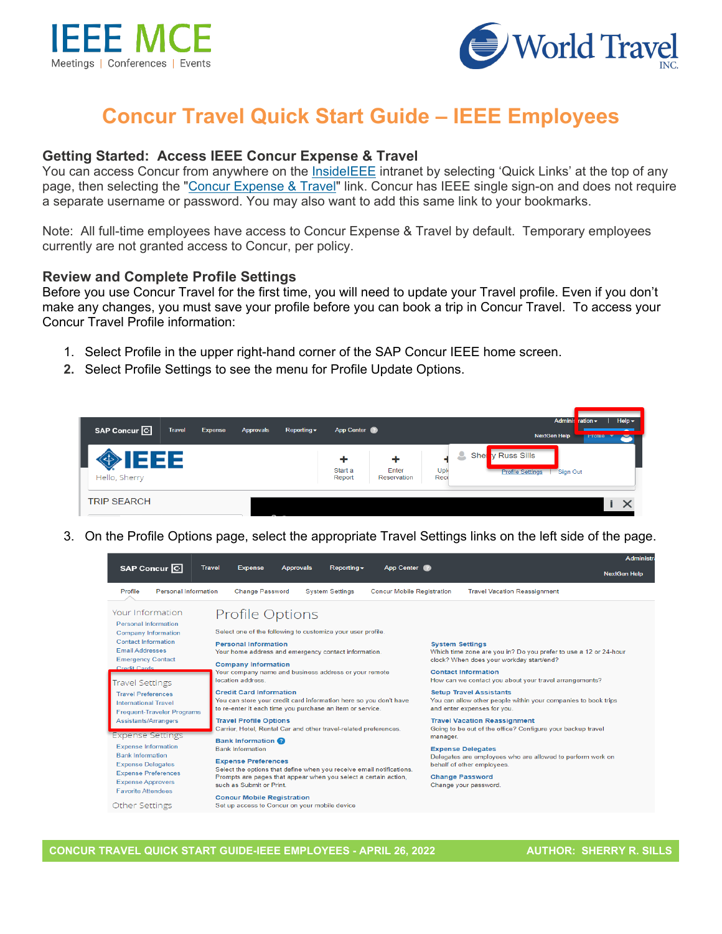



# **Concur Travel Quick Start Guide – IEEE Employees**

#### **Getting Started: Access IEEE Concur Expense & Travel**

You can access Concur from anywhere on the [InsideIEEE](https://17ieee.sharepoint.com/sites/HumanResources/benefits/brownbag.jpeg?web=1) intranet by selecting 'Quick Links' at the top of any page, then selecting the ["Concur Expense & Travel"](https://services10.ieee.org/idp/startSSO.ping?PartnerSpId=ConcurIEEE) link. Concur has IEEE single sign-on and does not require a separate username or password. You may also want to add this same link to your bookmarks.

Note: All full-time employees have access to Concur Expense & Travel by default. Temporary employees currently are not granted access to Concur, per policy.

#### **Review and Complete Profile Settings**

Before you use Concur Travel for the first time, you will need to update your Travel profile. Even if you don't make any changes, you must save your profile before you can book a trip in Concur Travel. To access your Concur Travel Profile information:

- 1. Select Profile in the upper right-hand corner of the SAP Concur IEEE home screen.
- **2.** Select Profile Settings to see the menu for Profile Update Options.



3. On the Profile Options page, select the appropriate Travel Settings links on the left side of the page.

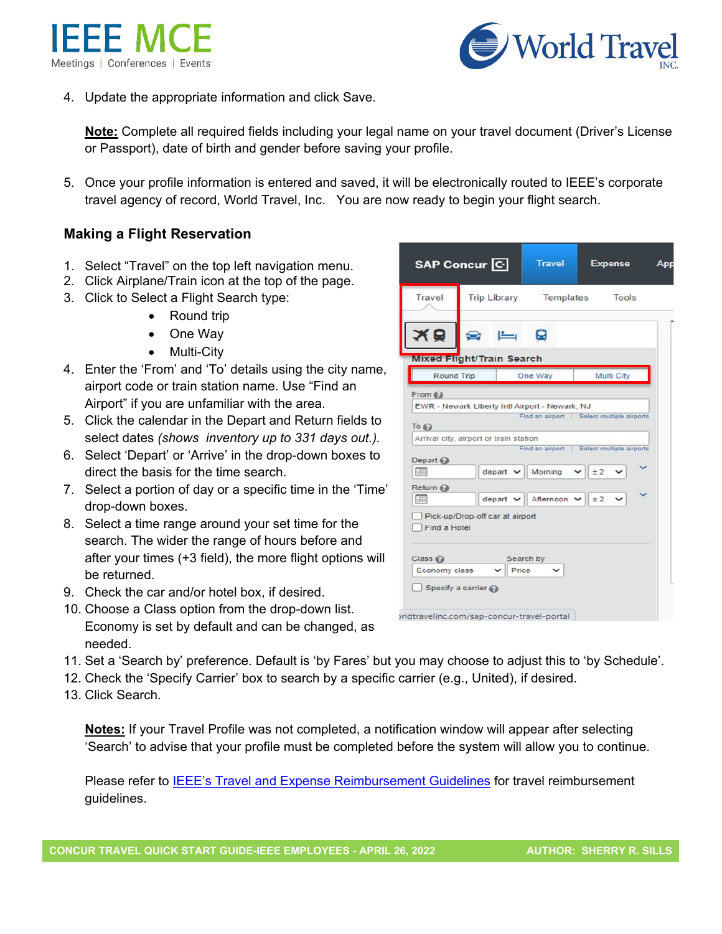



4. Update the appropriate information and click Save.

**Note:** Complete all required fields including your legal name on your travel document (Driver's License or Passport), date of birth and gender before saving your profile.

5. Once your profile information is entered and saved, it will be electronically routed to IEEE's corporate travel agency of record, World Travel, Inc. You are now ready to begin your flight search.

### **Making a Flight Reservation**

- 1. Select "Travel" on the top left navigation menu.
- 2. Click Airplane/Train icon at the top of the page.
- 3. Click to Select a Flight Search type:
	- Round trip
	- One Way
	- Multi-City
- 4. Enter the 'From' and 'To' details using the city name, airport code or train station name. Use "Find an Airport" if you are unfamiliar with the area.
- 5. Click the calendar in the Depart and Return fields to select dates *(shows inventory up to 331 days out.).*
- 6. Select 'Depart' or 'Arrive' in the drop-down boxes to direct the basis for the time search.
- 7. Select a portion of day or a specific time in the 'Time' drop-down boxes.
- 8. Select a time range around your set time for the search. The wider the range of hours before and after your times (+3 field), the more flight options will be returned.
- 9. Check the car and/or hotel box, if desired.
- 10. Choose a Class option from the drop-down list. Economy is set by default and can be changed, as needed.
- 11. Set a 'Search by' preference. Default is 'by Fares' but you may choose to adjust this to 'by Schedule'.
- 12. Check the 'Specify Carrier' box to search by a specific carrier (e.g., United), if desired.
- 13. Click Search.

**Notes:** If your Travel Profile was not completed, a notification window will appear after selecting 'Search' to advise that your profile must be completed before the system will allow you to continue.

Please refer to [IEEE's Travel and Expense Reimbursement Guidelines](https://www.ieee.org/content/dam/ieee-org/ieee/web/org/travel-expense-reimbursement-guidelines.pdf) for travel reimbursement guidelines.

|                           | SAP Concur <sup>C</sup>                                                 | <b>Travel</b>            | <b>Expense</b>                                                 | App |
|---------------------------|-------------------------------------------------------------------------|--------------------------|----------------------------------------------------------------|-----|
| <b>Travel</b>             | <b>Trip Library</b> Templates                                           |                          | <b>Tools</b>                                                   |     |
| ×e                        |                                                                         | ធ                        |                                                                |     |
|                           | <b>Mixed Flight/Train Search</b>                                        |                          |                                                                |     |
|                           | <b>Round Trip</b><br>One Way<br>Multi City                              |                          |                                                                |     |
| Depart $\odot$<br>$-111$  | Arrival city, airport or train station<br>$depart$ $\sim$               | Moming                   | Find an airport   Select multiple airports<br>$\times$ $\pm$ 2 |     |
| Return @                  |                                                                         |                          |                                                                |     |
| $\frac{1}{2}$             | $\text{depart } \vee$                                                   | Afternoon $\vee$ $\pm 2$ |                                                                |     |
| Find a Hotel<br>$Class Q$ | Pick-up/Drop-off car at airport                                         | Search by                |                                                                |     |
| Economy class             | Price<br>$\check{ }$                                                    |                          |                                                                |     |
|                           | Specify a carrier $\odot$<br>orldtravelinc.com/sap-concur-travel-portal |                          |                                                                |     |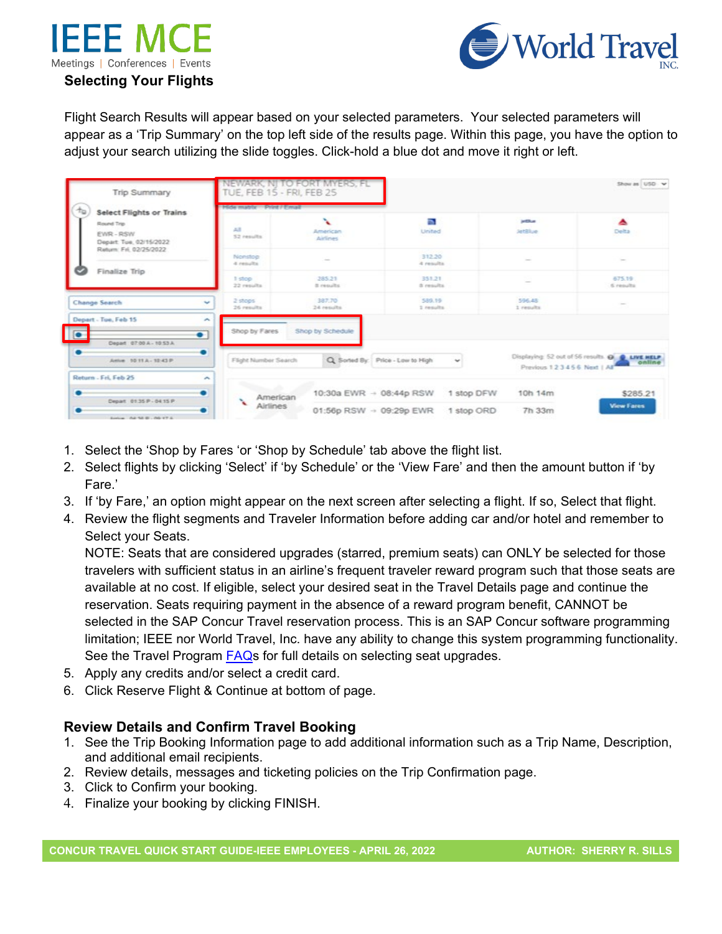



## Flight Search Results will appear based on your selected parameters. Your selected parameters will appear as a 'Trip Summary' on the top left side of the results page. Within this page, you have the option to adjust your search utilizing the slide toggles. Click-hold a blue dot and move it right or left.

| Trip Summary                                                                                                                          | TUE, FEB 15 - FRI, FEB 25                             | NEWARK, NJ TO FORT MYERS, FL |                                   |                          |                                | Show as USD v                                             |  |
|---------------------------------------------------------------------------------------------------------------------------------------|-------------------------------------------------------|------------------------------|-----------------------------------|--------------------------|--------------------------------|-----------------------------------------------------------|--|
| 10<br><b>Select Flights or Trains</b><br>Round Trip<br>EWR-RSW<br>Depart: Tue, 02/15/2022<br>Return: Fri. 02/25/2022<br>Finalize Trip |                                                       | Hide matrix Print / Email    |                                   |                          |                                |                                                           |  |
|                                                                                                                                       | $-2.3$<br>52 results                                  | x<br>American<br>Airlines    | n.<br>United                      |                          | <b>ANSAU</b><br><b>JetBlue</b> | ᇫ<br>Delta                                                |  |
|                                                                                                                                       | Nonston<br>4 nemalbs                                  | $\sim$                       | 312.20<br>4 results               |                          | $\sim$                         | $\sim$                                                    |  |
|                                                                                                                                       | 3 stop<br>22 results                                  | 285.21<br>8 results          | 351.21<br>di cassultra.           |                          |                                | 675.19<br>6 results                                       |  |
| Change Search                                                                                                                         | 2 stops<br>÷<br>26 results                            | 387.70<br>24 results         | 589.19<br>1 results               |                          | 596.43<br>1 riesults           |                                                           |  |
| Depart - Tue, Feb 15<br>$\sqrt{2}$<br>$\bullet$<br>Depart 07:00 A - 10:53 A                                                           | ×<br>Shop by Fares                                    | Shop by Schedule             |                                   |                          |                                |                                                           |  |
| ۰<br>Arrive 10:11 A - 10:43 P                                                                                                         | Flight Number Search                                  |                              | Q. Sorted By: Price - Low to High | $\overline{\phantom{a}}$ | Previous 123456 Next   All     | Displaying: 52 out of 56 results. @ @ LIVE HELP<br>online |  |
| Return - Fri, Feb 25<br>Depart 01:35 P - 04:15 P                                                                                      | $\overline{\phantom{a}}$<br>American<br>$\mathcal{L}$ |                              | 10:30a EWR - 08:44p RSW           | 1 stop DFW               | 10h 14m                        | \$285.21                                                  |  |
| Service 0-8-52-01-00-17-5                                                                                                             | Airlines                                              |                              | 01:56p RSW - 09:29p EWR           | 1 stop ORD               | 7h 33m                         | <b>View Fares</b>                                         |  |

- 1. Select the 'Shop by Fares 'or 'Shop by Schedule' tab above the flight list.
- 2. Select flights by clicking 'Select' if 'by Schedule' or the 'View Fare' and then the amount button if 'by Fare.'
- 3. If 'by Fare,' an option might appear on the next screen after selecting a flight. If so, Select that flight.
- 4. Review the flight segments and Traveler Information before adding car and/or hotel and remember to Select your Seats.

NOTE: Seats that are considered upgrades (starred, premium seats) can ONLY be selected for those travelers with sufficient status in an airline's frequent traveler reward program such that those seats are available at no cost. If eligible, select your desired seat in the Travel Details page and continue the reservation. Seats requiring payment in the absence of a reward program benefit, CANNOT be selected in the SAP Concur Travel reservation process. This is an SAP Concur software programming limitation; IEEE nor World Travel, Inc. have any ability to change this system programming functionality. See the Travel Program [FAQs](https://ieeemce.org/wp-content/uploads/concur-travel-faqs.pdf) for full details on selecting seat upgrades.

- 5. Apply any credits and/or select a credit card.
- 6. Click Reserve Flight & Continue at bottom of page.

### **Review Details and Confirm Travel Booking**

- 1. See the Trip Booking Information page to add additional information such as a Trip Name, Description, and additional email recipients.
- 2. Review details, messages and ticketing policies on the Trip Confirmation page.
- 3. Click to Confirm your booking.
- 4. Finalize your booking by clicking FINISH.